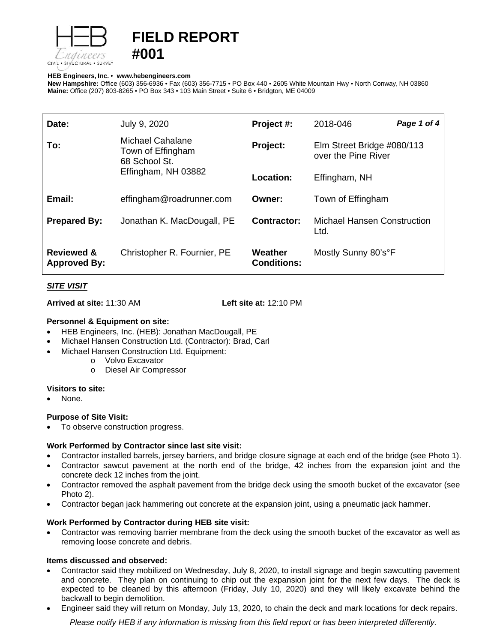

# **FIELD REPORT**

#### **HEB Engineers, Inc.** • **[www.hebengineer](http://www.hebengineers.com/)s.com**

**#001**

**New Hampshire:** Office (603) 356-6936 • Fax (603) 356-7715 • PO Box 440 • 2605 White Mountain Hwy • North Conway, NH 03860 **Maine:** Office (207) 803-8265 • PO Box 343 • 103 Main Street • Suite 6 • Bridgton, ME 04009

| Date:                                        | July 9, 2020                                                                  | Project #:                    | 2018-046                                          | Page 1 of 4 |
|----------------------------------------------|-------------------------------------------------------------------------------|-------------------------------|---------------------------------------------------|-------------|
| To:                                          | Michael Cahalane<br>Town of Effingham<br>68 School St.<br>Effingham, NH 03882 | Project:                      | Elm Street Bridge #080/113<br>over the Pine River |             |
|                                              |                                                                               | Location:                     | Effingham, NH                                     |             |
| Email:                                       | effingham@roadrunner.com                                                      | Owner:                        | Town of Effingham                                 |             |
| <b>Prepared By:</b>                          | Jonathan K. MacDougall, PE                                                    | <b>Contractor:</b>            | <b>Michael Hansen Construction</b><br>Ltd.        |             |
| <b>Reviewed &amp;</b><br><b>Approved By:</b> | Christopher R. Fournier, PE                                                   | Weather<br><b>Conditions:</b> | Mostly Sunny 80's°F                               |             |

# *SITE VISIT*

**Arrived at site:** 11:30 AM **Left site at:** 12:10 PM

### **Personnel & Equipment on site:**

- HEB Engineers, Inc. (HEB): Jonathan MacDougall, PE
- Michael Hansen Construction Ltd. (Contractor): Brad, Carl
- Michael Hansen Construction Ltd. Equipment:
	- o Volvo Excavator
	- o Diesel Air Compressor

#### **Visitors to site:**

None.

## **Purpose of Site Visit:**

To observe construction progress.

## **Work Performed by Contractor since last site visit:**

- Contractor installed barrels, jersey barriers, and bridge closure signage at each end of the bridge (see Photo 1).
- Contractor sawcut pavement at the north end of the bridge, 42 inches from the expansion joint and the concrete deck 12 inches from the joint.
- Contractor removed the asphalt pavement from the bridge deck using the smooth bucket of the excavator (see Photo 2).
- Contractor began jack hammering out concrete at the expansion joint, using a pneumatic jack hammer.

## **Work Performed by Contractor during HEB site visit:**

• Contractor was removing barrier membrane from the deck using the smooth bucket of the excavator as well as removing loose concrete and debris.

## **Items discussed and observed:**

- Contractor said they mobilized on Wednesday, July 8, 2020, to install signage and begin sawcutting pavement and concrete. They plan on continuing to chip out the expansion joint for the next few days. The deck is expected to be cleaned by this afternoon (Friday, July 10, 2020) and they will likely excavate behind the backwall to begin demolition.
- Engineer said they will return on Monday, July 13, 2020, to chain the deck and mark locations for deck repairs.

*Please notify HEB if any information is missing from this field report or has been interpreted differently.*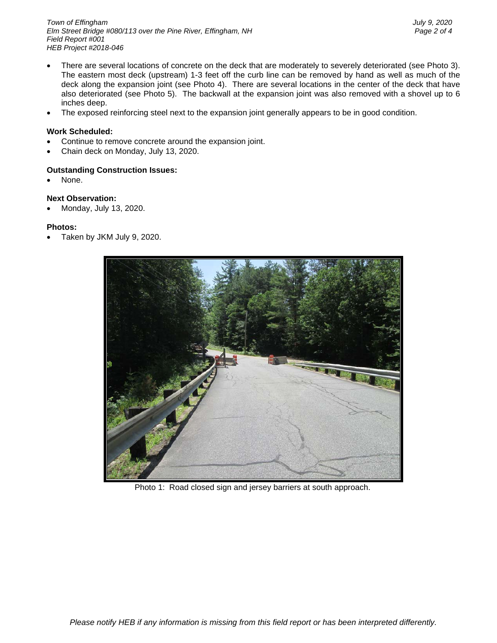*Town of Effingham July 9, 2020 Elm Street Bridge #080/113 over the Pine River, Effingham, NH Field Report #001 HEB Project #2018-046*

- There are several locations of concrete on the deck that are moderately to severely deteriorated (see Photo 3). The eastern most deck (upstream) 1-3 feet off the curb line can be removed by hand as well as much of the deck along the expansion joint (see Photo 4). There are several locations in the center of the deck that have also deteriorated (see Photo 5). The backwall at the expansion joint was also removed with a shovel up to 6 inches deep.
- The exposed reinforcing steel next to the expansion joint generally appears to be in good condition.

#### **Work Scheduled:**

- Continue to remove concrete around the expansion joint.
- Chain deck on Monday, July 13, 2020.

#### **Outstanding Construction Issues:**

None.

#### **Next Observation:**

• Monday, July 13, 2020.

#### **Photos:**

• Taken by JKM July 9, 2020.



Photo 1: Road closed sign and jersey barriers at south approach.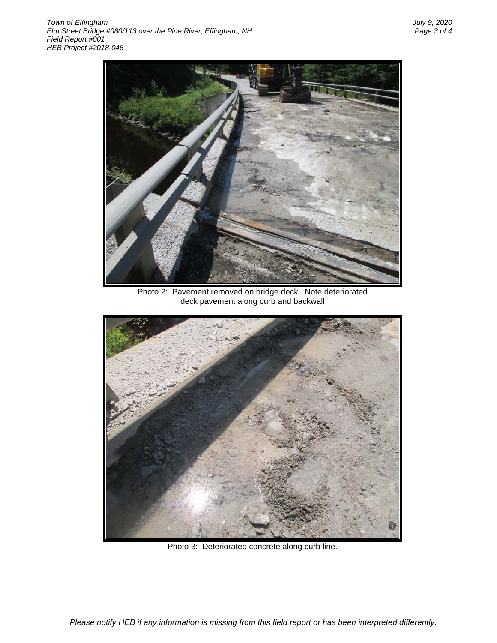

Photo 2: Pavement removed on bridge deck. Note deteriorated deck pavement along curb and backwall



Photo 3: Deteriorated concrete along curb line.